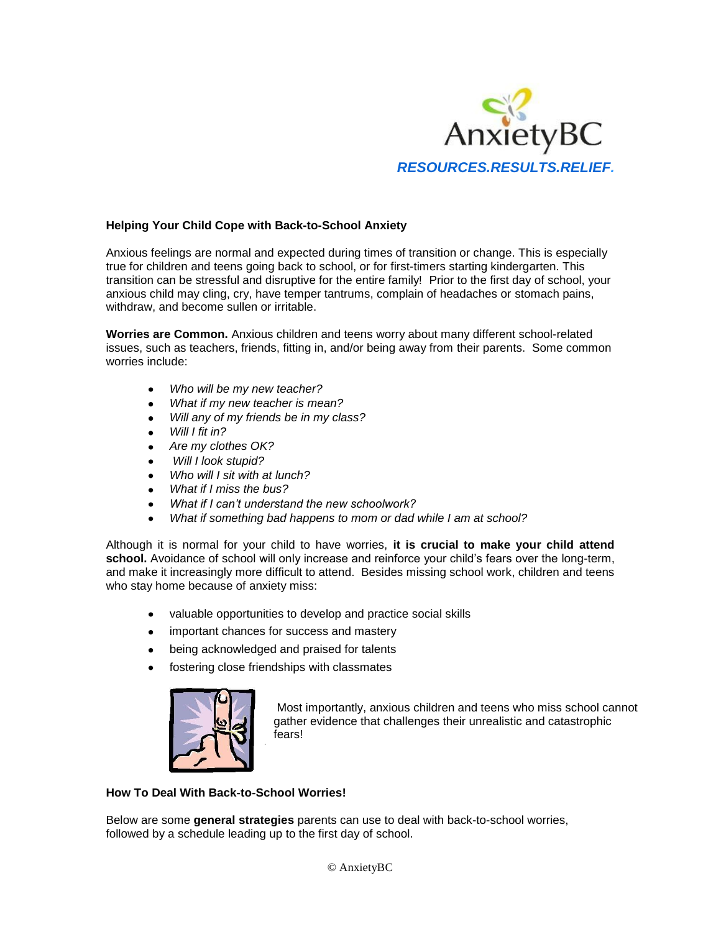

# **Helping Your Child Cope with Back-to-School Anxiety**

Anxious feelings are normal and expected during times of transition or change. This is especially true for children and teens going back to school, or for first-timers starting kindergarten. This transition can be stressful and disruptive for the entire family! Prior to the first day of school, your anxious child may cling, cry, have temper tantrums, complain of headaches or stomach pains, withdraw, and become sullen or irritable.

**Worries are Common.** Anxious children and teens worry about many different school-related issues, such as teachers, friends, fitting in, and/or being away from their parents. Some common worries include:

- *Who will be my new teacher?*
- *What if my new teacher is mean?*
- *Will any of my friends be in my class?*   $\bullet$
- *Will I fit in?*   $\bullet$
- *Are my clothes OK?*   $\bullet$
- *Will I look stupid?*
- *Who will I sit with at lunch?*
- *What if I miss the bus?*
- *What if I can't understand the new schoolwork?*
- *What if something bad happens to mom or dad while I am at school?*

Although it is normal for your child to have worries, **it is crucial to make your child attend** school. Avoidance of school will only increase and reinforce your child's fears over the long-term, and make it increasingly more difficult to attend. Besides missing school work, children and teens who stay home because of anxiety miss:

- valuable opportunities to develop and practice social skills  $\bullet$
- important chances for success and mastery  $\bullet$
- being acknowledged and praised for talents  $\bullet$
- fostering close friendships with classmates

!



Most importantly, anxious children and teens who miss school cannot gather evidence that challenges their unrealistic and catastrophic fears!

### **How To Deal With Back-to-School Worries!**

Below are some **general strategies** parents can use to deal with back-to-school worries, followed by a schedule leading up to the first day of school.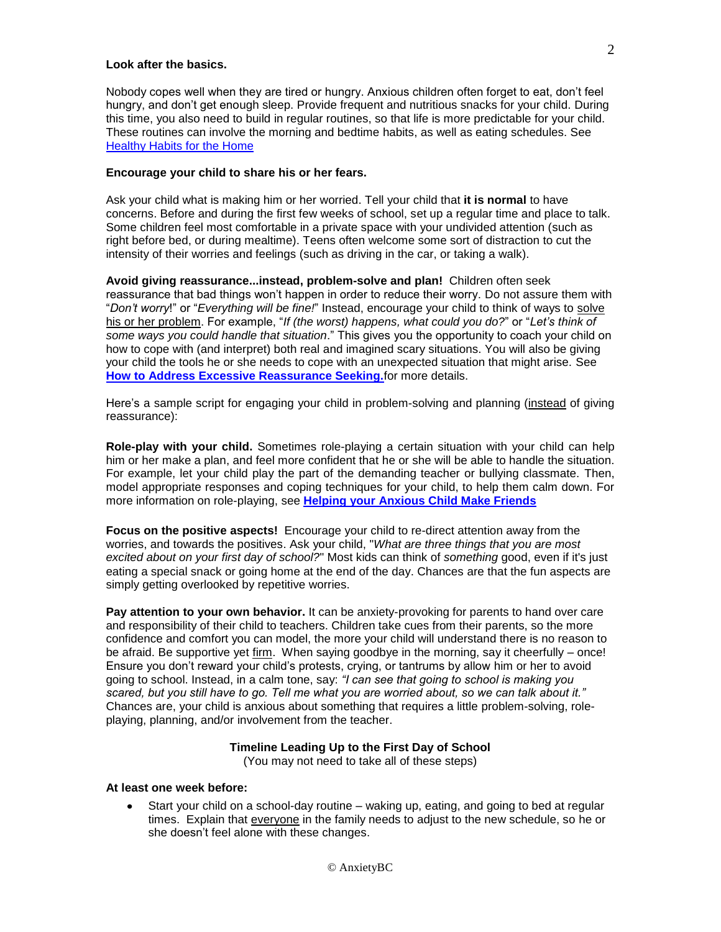#### **Look after the basics.**

Nobody copes well when they are tired or hungry. Anxious children often forget to eat, don't feel hungry, and don't get enough sleep. Provide frequent and nutritious snacks for your child. During this time, you also need to build in regular routines, so that life is more predictable for your child. These routines can involve the morning and bedtime habits, as well as eating schedules. See [Healthy Habits for the Home](http://www.anxietybc.com/sites/default/files/hm_habits.pdf)

#### **Encourage your child to share his or her fears.**

Ask your child what is making him or her worried. Tell your child that **it is normal** to have concerns. Before and during the first few weeks of school, set up a regular time and place to talk. Some children feel most comfortable in a private space with your undivided attention (such as right before bed, or during mealtime). Teens often welcome some sort of distraction to cut the intensity of their worries and feelings (such as driving in the car, or taking a walk).

**Avoid giving reassurance...instead, problem-solve and plan!** Children often seek reassurance that bad things won't happen in order to reduce their worry. Do not assure them with "*Don't worry*!" or "*Everything will be fine!*" Instead, encourage your child to think of ways to solve his or her problem. For example, "*If (the worst) happens, what could you do?*" or "*Let's think of some ways you could handle that situation*." This gives you the opportunity to coach your child on how to cope with (and interpret) both real and imagined scary situations. You will also be giving your child the tools he or she needs to cope with an unexpected situation that might arise. See **[How to Address Excessive Reassurance Seeking.](http://www.anxietybc.com/sites/default/files/Reassurance_Seeking.pdf)**for more details.

Here's a sample script for engaging your child in problem-solving and planning (instead of giving reassurance):

**Role-play with your child.** Sometimes role-playing a certain situation with your child can help him or her make a plan, and feel more confident that he or she will be able to handle the situation. For example, let your child play the part of the demanding teacher or bullying classmate. Then, model appropriate responses and coping techniques for your child, to help them calm down. For more information on role-playing, see **[Helping your Anxious Child Make Friends](http://www.anxietybc.com/sites/default/files/HelpingYourChildMakeFriends.pdf)**

**Focus on the positive aspects!** Encourage your child to re-direct attention away from the worries, and towards the positives. Ask your child, "*What are three things that you are most excited about on your first day of school?*" Most kids can think of *something* good, even if it's just eating a special snack or going home at the end of the day. Chances are that the fun aspects are simply getting overlooked by repetitive worries.

**Pay attention to your own behavior.** It can be anxiety-provoking for parents to hand over care and responsibility of their child to teachers. Children take cues from their parents, so the more confidence and comfort you can model, the more your child will understand there is no reason to be afraid. Be supportive yet firm. When saying goodbye in the morning, say it cheerfully – once! Ensure you don't reward your child's protests, crying, or tantrums by allow him or her to avoid going to school. Instead, in a calm tone, say: *"I can see that going to school is making you scared, but you still have to go. Tell me what you are worried about, so we can talk about it."* Chances are, your child is anxious about something that requires a little problem-solving, roleplaying, planning, and/or involvement from the teacher.

### **Timeline Leading Up to the First Day of School**

(You may not need to take all of these steps)

#### **At least one week before:**

Start your child on a school-day routine – waking up, eating, and going to bed at regular times. Explain that everyone in the family needs to adjust to the new schedule, so he or she doesn't feel alone with these changes.